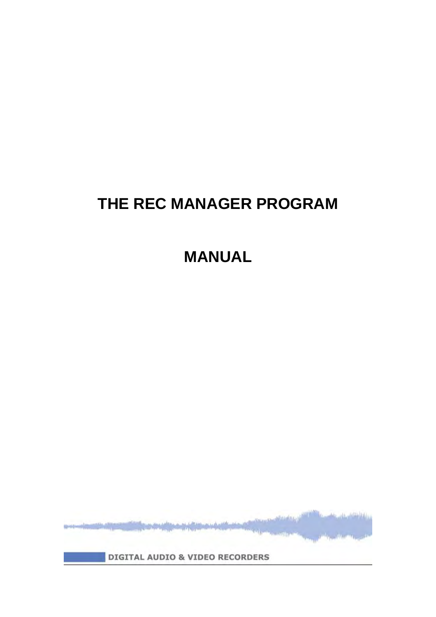# **THE REC MANAGER PROGRAM**

**MANUAL**

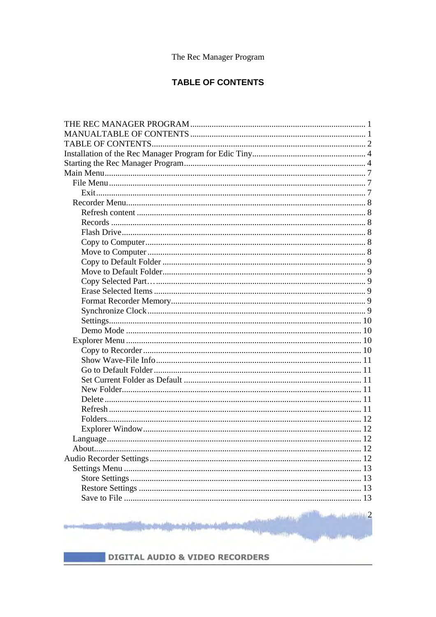# **TABLE OF CONTENTS**

| To the distribution of 2<br>adhyaalmy.co |  |
|------------------------------------------|--|

DIGITAL AUDIO & VIDEO RECORDERS

**State Street** 

**Single Controller**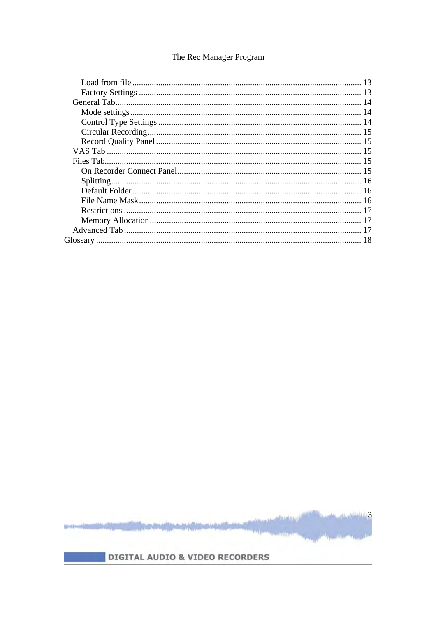

ital.

 $m$  and  $3$ 

**DEAM REL**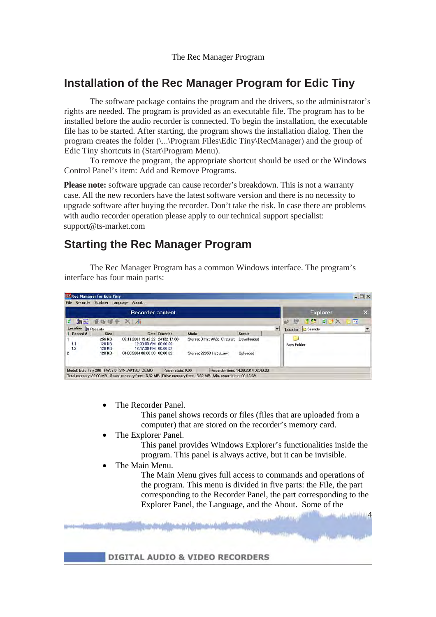# **Installation of the Rec Manager Program for Edic Tiny**

The software package contains the program and the drivers, so the administrator's rights are needed. The program is provided as an executable file. The program has to be installed before the audio recorder is connected. To begin the installation, the executable file has to be started. After starting, the program shows the installation dialog. Then the program creates the folder (\...\Program Files\Edic Tiny\RecManager) and the group of Edic Tiny shortcuts in (Start\Program Menu).

 To remove the program, the appropriate shortcut should be used or the Windows Control Panel's item: Add and Remove Programs.

**Please note:** software upgrade can cause recorder's breakdown. This is not a warranty case. All the new recorders have the latest software version and there is no necessity to upgrade software after buying the recorder. Don't take the risk. In case there are problems with audio recorder operation please apply to our technical support specialist: support@ts-market.com

# **Starting the Rec Manager Program**

 The Rec Manager Program has a common Windows interface. The program's interface has four main parts:

|                           |               | <b>Recorder content</b>         |               |                              |               | Explorer                                    |
|---------------------------|---------------|---------------------------------|---------------|------------------------------|---------------|---------------------------------------------|
| <b>John</b><br>a          |               | 音板唱卡 X Ai                       |               |                              |               | $\frac{1}{2}$ Bo<br>27X<br>E<br>49          |
| Location <b>b</b> Records |               |                                 |               |                              |               | $\overline{ }$<br><b>Sounds</b><br>Location |
| <b>t</b> Record #         | <b>Size</b>   |                                 | Date Duration | Mode                         | <b>Status</b> |                                             |
|                           | 256 KB        | 02.11.2001 19:42:22 24132:17:38 |               | Stereo: 0 Hz; VAS; Circular; | Downloaded    |                                             |
| 1.1                       | 128 KB        | 12:00:00 AM 00:00:00            |               |                              |               | New Folder                                  |
| 1.2                       | <b>128 KB</b> | 12:17:38 PM 00:00:02            |               |                              |               |                                             |
|                           | <b>128 KB</b> | 04.08.2004 08:00:00 00:00:02    |               | Stereo: 22050 Hz: uLaw:      | Uploaded      |                                             |
| 2                         |               |                                 |               |                              |               |                                             |

The Recorder Panel.

This panel shows records or files (files that are uploaded from a computer) that are stored on the recorder's memory card.

The Explorer Panel.

This panel provides Windows Explorer's functionalities inside the program. This panel is always active, but it can be invisible.

The Main Menu.

The Main Menu gives full access to commands and operations of the program. This menu is divided in five parts: the File, the part corresponding to the Recorder Panel, the part corresponding to the Explorer Panel, the Language, and the About. Some of the

4

**DIGITAL AUDIO & VIDEO RECORDERS**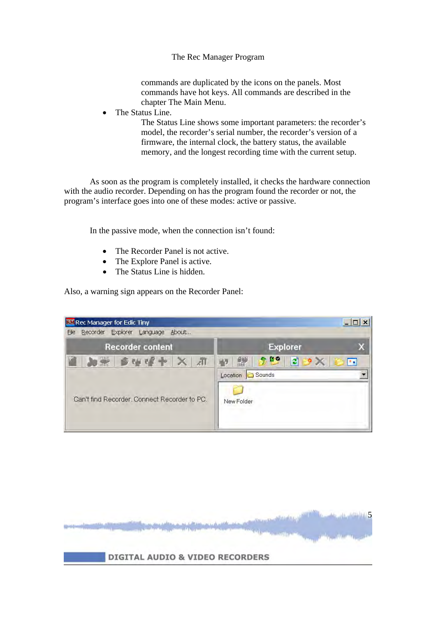commands are duplicated by the icons on the panels. Most commands have hot keys. All commands are described in the chapter The Main Menu.

The Status Line.

The Status Line shows some important parameters: the recorder's model, the recorder's serial number, the recorder's version of a firmware, the internal clock, the battery status, the available memory, and the longest recording time with the current setup.

As soon as the program is completely installed, it checks the hardware connection with the audio recorder. Depending on has the program found the recorder or not, the program's interface goes into one of these modes: active or passive.

In the passive mode, when the connection isn't found:

- The Recorder Panel is not active.
- The Explore Panel is active.
- The Status Line is hidden.

Also, a warning sign appears on the Recorder Panel:

| <b>RM</b> Rec Manager for Edic Tiny            |                                                                       |
|------------------------------------------------|-----------------------------------------------------------------------|
| Recorder Explorer<br>About<br>Language<br>File |                                                                       |
| <b>Recorder content</b>                        | <b>Explorer</b>                                                       |
| $\blacksquare$<br>$ B \cup P  +  X $           | 940<br>$\mathcal{L}$<br>$2 \times$<br>E<br>- 75<br>Sounds<br>Location |
| Can't find Recorder. Connect Recorder to PC.   | New Folder                                                            |

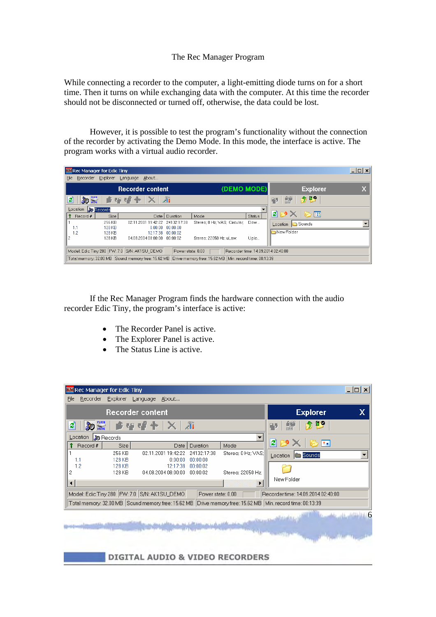While connecting a recorder to the computer, a light-emitting diode turns on for a short time. Then it turns on while exchanging data with the computer. At this time the recorder should not be disconnected or turned off, otherwise, the data could be lost.

However, it is possible to test the program's functionality without the connection of the recorder by activating the Demo Mode. In this mode, the interface is active. The program works with a virtual audio recorder.

| <b>RM</b> Rec Manager for Edic Tiny |                                                                                                                 |                                 |                      |                              |               |                                  | $ \Box$ $\times$ $\Box$ |  |
|-------------------------------------|-----------------------------------------------------------------------------------------------------------------|---------------------------------|----------------------|------------------------------|---------------|----------------------------------|-------------------------|--|
| Recorder<br>File                    | Explorer                                                                                                        | Language About                  |                      |                              |               |                                  |                         |  |
|                                     |                                                                                                                 | <b>Recorder content</b>         |                      | (DEMO MODE)                  |               | <b>Explorer</b>                  |                         |  |
| <b>DE FLASH</b><br>e                |                                                                                                                 | 食母 - 望 - 十   ×   21             |                      |                              |               | $\mathbf{F}$ $\mathbf{F}$<br>F5. |                         |  |
| Location <b>&amp;</b> Records       |                                                                                                                 |                                 |                      |                              |               |                                  |                         |  |
| Record #                            | Size                                                                                                            |                                 | Date   Duration      | Mode                         | <b>Status</b> | 2 PX D H                         |                         |  |
|                                     | 256 KB                                                                                                          | 02.11.2001 19:42:22 24132:17:38 |                      | Stereo: 0 Hz: VAS: Circular: | Dow           | Location <b>B</b> Sounds         |                         |  |
| 11                                  | 128 KB                                                                                                          |                                 | $0:00:00$ $00:00:00$ |                              |               |                                  |                         |  |
| 12                                  | <b>128 KB</b>                                                                                                   |                                 | 12:17:38 00:00:02    |                              |               | New Folder                       |                         |  |
|                                     | 128 KB                                                                                                          | 04.08.2004 08:00:00  00:00:02   |                      | Stereo; 22050 Hz; uLaw;      | Uplo          |                                  |                         |  |
|                                     | Model: Edic Tiny 280   FW: 7.0   S/N: AK1SU_DEMO<br>Power state: 0.00<br>Recorder time: 14.09.2014 02:40:00     |                                 |                      |                              |               |                                  |                         |  |
|                                     | Total memory: 32.00 MB   Sound memory free: 15.62 MB   Drive memory free: 15.62 MB   Min. record time: 00:13:39 |                                 |                      |                              |               |                                  |                         |  |

If the Rec Manager Program finds the hardware connection with the audio recorder Edic Tiny, the program's interface is active:

- The Recorder Panel is active.
- The Explorer Panel is active.
- The Status Line is active.

|                                                                                                                  |                   | <b>Recorder content</b>                          |                   |                    | x<br><b>Explorer</b>               |
|------------------------------------------------------------------------------------------------------------------|-------------------|--------------------------------------------------|-------------------|--------------------|------------------------------------|
| <b>BO</b> PLASH<br>٤Ì                                                                                            |                   | <b>食理或牛</b>                                      | $\mathbb{Z}$ u    |                    | 25 LS<br><b>PY</b><br>۰.,          |
| Location                                                                                                         | <b>30</b> Records |                                                  |                   |                    |                                    |
| Record #                                                                                                         | <b>Size</b>       | Date I                                           | Duration          | Mode               | $ 2  \geq 2$<br><b>BE</b>          |
|                                                                                                                  | 256 KB            | 02.11.2001 19:42:22                              | 24132:17:38       | Stereo; 0 Hz; VAS: | Location <b>Sounds</b>             |
| 1.1                                                                                                              | 128 KB            | 0:00:00                                          | 00:00:00          |                    |                                    |
| 1.2                                                                                                              | 128 KB            | 12:17:38                                         | 00:00:02          |                    |                                    |
| 2                                                                                                                | 128 KB            | 04.08.2004 08:00:00                              | 00:00:02          | Stereo: 22050 Hz:  |                                    |
| $\left  \cdot \right $                                                                                           |                   |                                                  |                   |                    | New Folder                         |
|                                                                                                                  |                   | Model: Edic Tiny 280   FW: 7.0   S/N: AK1SU_DEMO | Power state: 0.00 |                    | Recorder time: 14.09.2014 02:40:00 |
| Total memory: 32.00 MB Sound memory free: 15.62 MB  <br>Drive memory free: 15.62 MB   Min. record time: 00:13:39 |                   |                                                  |                   |                    |                                    |
| $\blacksquare$ 6<br>and interest in the state and a secret through the state of                                  |                   |                                                  |                   |                    |                                    |

#### **DIGITAL AUDIO & VIDEO RECORDERS**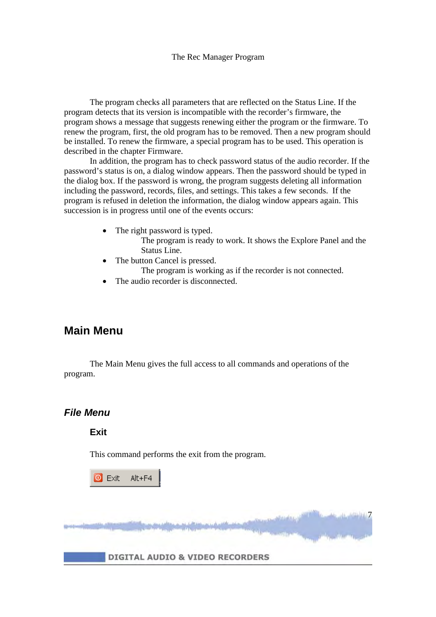The program checks all parameters that are reflected on the Status Line. If the program detects that its version is incompatible with the recorder's firmware, the program shows a message that suggests renewing either the program or the firmware. To renew the program, first, the old program has to be removed. Then a new program should be installed. To renew the firmware, a special program has to be used. This operation is described in the chapter Firmware.

In addition, the program has to check password status of the audio recorder. If the password's status is on, a dialog window appears. Then the password should be typed in the dialog box. If the password is wrong, the program suggests deleting all information including the password, records, files, and settings. This takes a few seconds. If the program is refused in deletion the information, the dialog window appears again. This succession is in progress until one of the events occurs:

- The right password is typed.
	- The program is ready to work. It shows the Explore Panel and the Status Line.

7

- The button Cancel is pressed.
	- The program is working as if the recorder is not connected.
- The audio recorder is disconnected.

# **Main Menu**

The Main Menu gives the full access to all commands and operations of the program.

# *File Menu*

**Exit** 

This command performs the exit from the program.

 $\bullet$  Exit  $Alt + F4$ 

DIGITAL AUDIO & VIDEO RECORDERS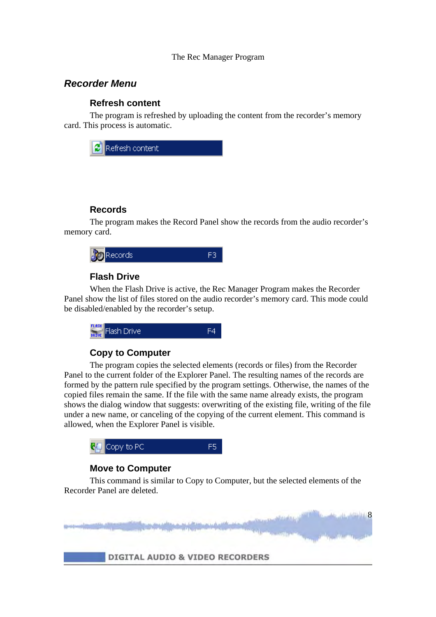# *Recorder Menu*

#### **Refresh content**

 The program is refreshed by uploading the content from the recorder's memory card. This process is automatic.



#### **Records**

 The program makes the Record Panel show the records from the audio recorder's memory card.



### **Flash Drive**

 When the Flash Drive is active, the Rec Manager Program makes the Recorder Panel show the list of files stored on the audio recorder's memory card. This mode could be disabled/enabled by the recorder's setup.



# **Copy to Computer**

 The program copies the selected elements (records or files) from the Recorder Panel to the current folder of the Explorer Panel. The resulting names of the records are formed by the pattern rule specified by the program settings. Otherwise, the names of the copied files remain the same. If the file with the same name already exists, the program shows the dialog window that suggests: overwriting of the existing file, writing of the file under a new name, or canceling of the copying of the current element. This command is allowed, when the Explorer Panel is visible.



# **Move to Computer**

 This command is similar to Copy to Computer, but the selected elements of the Recorder Panel are deleted.

DIGITAL AUDIO & VIDEO RECORDERS

8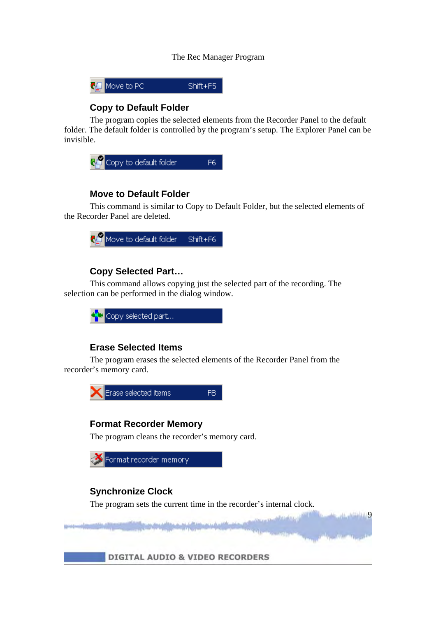

# **Copy to Default Folder**

 The program copies the selected elements from the Recorder Panel to the default folder. The default folder is controlled by the program's setup. The Explorer Panel can be invisible.



# **Move to Default Folder**

 This command is similar to Copy to Default Folder, but the selected elements of the Recorder Panel are deleted.



### **Copy Selected Part…**

 This command allows copying just the selected part of the recording. The selection can be performed in the dialog window.



# **Erase Selected Items**

 The program erases the selected elements of the Recorder Panel from the recorder's memory card.





# **Synchronize Clock**

The program sets the current time in the recorder's internal clock.

**9 Julian** 

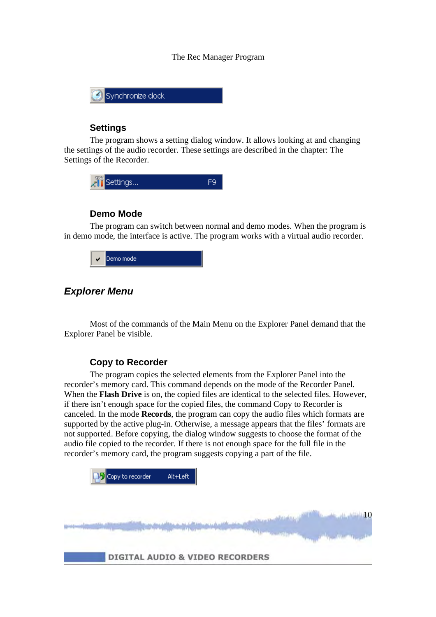

#### **Settings**

 The program shows a setting dialog window. It allows looking at and changing the settings of the audio recorder. These settings are described in the chapter: The Settings of the Recorder.



#### **Demo Mode**

 The program can switch between normal and demo modes. When the program is in demo mode, the interface is active. The program works with a virtual audio recorder.



### *Explorer Menu*

Most of the commands of the Main Menu on the Explorer Panel demand that the Explorer Panel be visible.

#### **Copy to Recorder**

 The program copies the selected elements from the Explorer Panel into the recorder's memory card. This command depends on the mode of the Recorder Panel. When the **Flash Drive** is on, the copied files are identical to the selected files. However, if there isn't enough space for the copied files, the command Copy to Recorder is canceled. In the mode **Records**, the program can copy the audio files which formats are supported by the active plug-in. Otherwise, a message appears that the files' formats are not supported. Before copying, the dialog window suggests to choose the format of the audio file copied to the recorder. If there is not enough space for the full file in the recorder's memory card, the program suggests copying a part of the file.

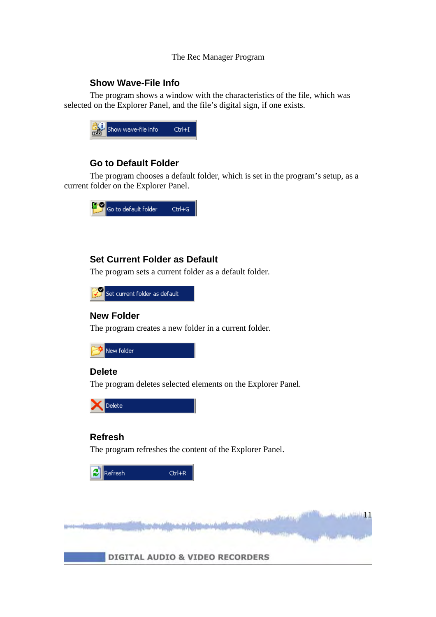### **Show Wave-File Info**

 The program shows a window with the characteristics of the file, which was selected on the Explorer Panel, and the file's digital sign, if one exists.



### **Go to Default Folder**

 The program chooses a default folder, which is set in the program's setup, as a current folder on the Explorer Panel.



# **Set Current Folder as Default**

The program sets a current folder as a default folder.



#### **New Folder**

The program creates a new folder in a current folder.



#### **Delete**

The program deletes selected elements on the Explorer Panel.



#### **Refresh**

The program refreshes the content of the Explorer Panel.

| Refresh | $CFr+R$ |
|---------|---------|
|         |         |

11-11-12 11-1

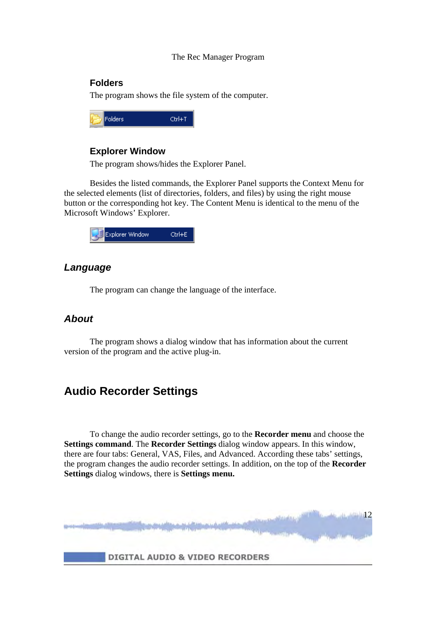#### **Folders**

The program shows the file system of the computer.

| ٠<br>ters | ш. |
|-----------|----|
|           |    |

#### **Explorer Window**

The program shows/hides the Explorer Panel.

 Besides the listed commands, the Explorer Panel supports the Context Menu for the selected elements (list of directories, folders, and files) by using the right mouse button or the corresponding hot key. The Content Menu is identical to the menu of the Microsoft Windows' Explorer.



# *Language*

The program can change the language of the interface.

# *About*

 The program shows a dialog window that has information about the current version of the program and the active plug-in.

# **Audio Recorder Settings**

 To change the audio recorder settings, go to the **Recorder menu** and choose the **Settings command**. The **Recorder Settings** dialog window appears. In this window, there are four tabs: General, VAS, Files, and Advanced. According these tabs' settings, the program changes the audio recorder settings. In addition, on the top of the **Recorder Settings** dialog windows, there is **Settings menu.**

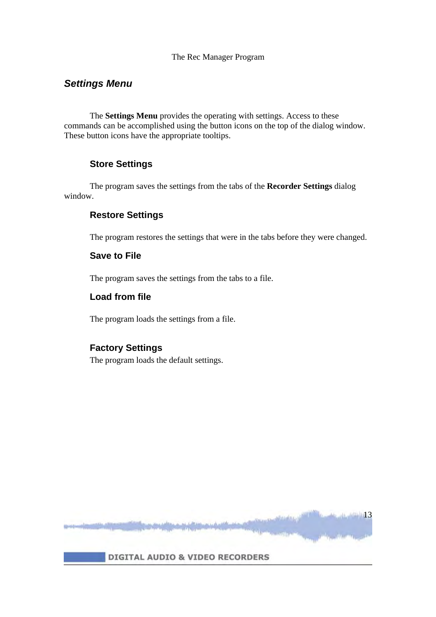# *Settings Menu*

 The **Settings Menu** provides the operating with settings. Access to these commands can be accomplished using the button icons on the top of the dialog window. These button icons have the appropriate tooltips.

### **Store Settings**

 The program saves the settings from the tabs of the **Recorder Settings** dialog window.

# **Restore Settings**

The program restores the settings that were in the tabs before they were changed.

#### **Save to File**

The program saves the settings from the tabs to a file.

#### **Load from file**

The program loads the settings from a file.

#### **Factory Settings**

The program loads the default settings.

**DIGITAL AUDIO & VIDEO RECORDERS** 

 $13$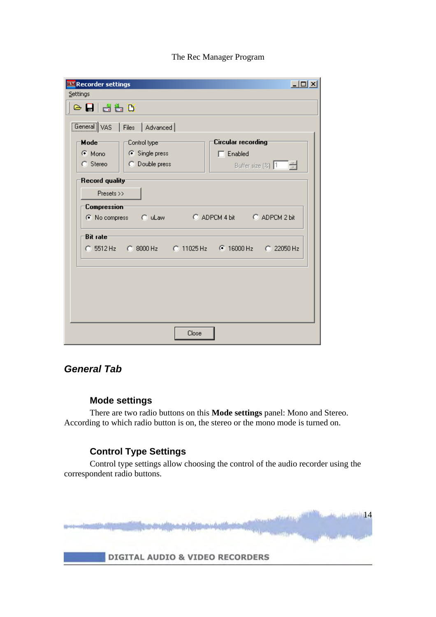| <b>RM</b> Recorder settings                                     |                                  | <u>니미지</u>                                           |
|-----------------------------------------------------------------|----------------------------------|------------------------------------------------------|
| Settings                                                        |                                  |                                                      |
| $\circ$ $\blacksquare$ $\blacksquare$ $\lozenge$ $\blacksquare$ |                                  |                                                      |
|                                                                 | [General] VAS   Files   Advanced |                                                      |
| Mode <sup>-</sup>                                               | Control type <sup>-</sup>        | Circular recording                                   |
| $\odot$ Mono                                                    | ⊙ Single press                   | $\Box$ Enabled                                       |
| C Stereo                                                        | C Double press                   | Buffer size $(\%)$ 1 $\frac{2}{\sqrt{2}}$            |
| Record quality                                                  |                                  |                                                      |
| Presets $\gg$                                                   |                                  |                                                      |
| Compression <sup>-</sup>                                        |                                  |                                                      |
|                                                                 | C No compress C uLaw             | C ADPCM 4 bit C ADPCM 2 bit                          |
| Bit rate                                                        |                                  |                                                      |
|                                                                 |                                  | C 5512 Hz C 8000 Hz C 11025 Hz C 16000 Hz C 22050 Hz |
|                                                                 |                                  |                                                      |
|                                                                 |                                  |                                                      |
|                                                                 |                                  |                                                      |
|                                                                 |                                  |                                                      |
|                                                                 |                                  |                                                      |
|                                                                 | Close                            |                                                      |

# *General Tab*

# **Mode settings**

 There are two radio buttons on this **Mode settings** panel: Mono and Stereo. According to which radio button is on, the stereo or the mono mode is turned on.

# **Control Type Settings**

 Control type settings allow choosing the control of the audio recorder using the correspondent radio buttons.

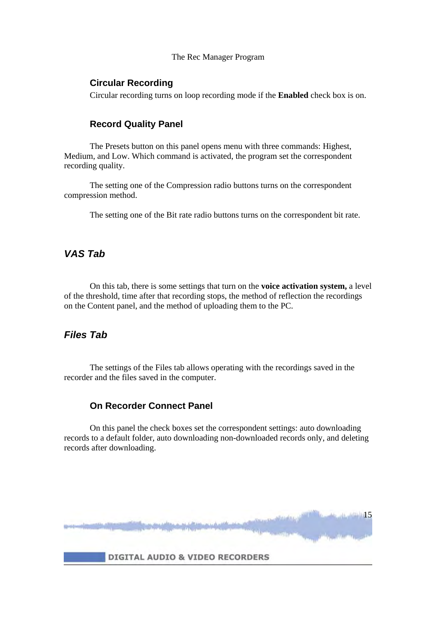#### **Circular Recording**

Circular recording turns on loop recording mode if the **Enabled** check box is on.

#### **Record Quality Panel**

 The Presets button on this panel opens menu with three commands: Highest, Medium, and Low. Which command is activated, the program set the correspondent recording quality.

 The setting one of the Compression radio buttons turns on the correspondent compression method.

The setting one of the Bit rate radio buttons turns on the correspondent bit rate.

# *VAS Tab*

 On this tab, there is some settings that turn on the **voice activation system,** a level of the threshold, time after that recording stops, the method of reflection the recordings on the Content panel, and the method of uploading them to the PC.

# *Files Tab*

 The settings of the Files tab allows operating with the recordings saved in the recorder and the files saved in the computer.

#### **On Recorder Connect Panel**

 On this panel the check boxes set the correspondent settings: auto downloading records to a default folder, auto downloading non-downloaded records only, and deleting records after downloading.

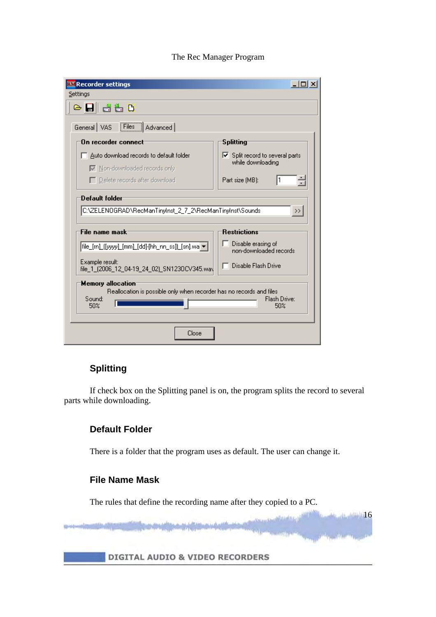| <b>RM</b> Recorder settings                                                                                       | – IOI X                                                             |
|-------------------------------------------------------------------------------------------------------------------|---------------------------------------------------------------------|
| Settings                                                                                                          |                                                                     |
| ⊝B∥ª₩Ď                                                                                                            |                                                                     |
| Files   Advanced<br>General VAS                                                                                   |                                                                     |
| On recorder connect                                                                                               | <b>Splitting</b>                                                    |
| $\Box$ Auto download records to default folder<br><b>▽</b> Non-downloaded records only                            | $\triangleright$ Split record to several parts<br>while downloading |
| $\Box$ Delete records after download                                                                              | ÷<br>Part size (MB):                                                |
| Default folder                                                                                                    |                                                                     |
| C:\ZELENOGRAD\RecManTinyInst_2_7_2\RecManTinyInst\Sounds                                                          | $\rightarrow$                                                       |
|                                                                                                                   |                                                                     |
| File name mask:                                                                                                   | <b>Restrictions</b>                                                 |
|                                                                                                                   | Disable erasing of<br>non-downloaded records                        |
| Example result:<br>file_1_(2006_12_04-19_24_02)_SN123OCV345.wa\                                                   | Disable Flash Drive                                                 |
| <b>Memory allocation</b><br>Reallocation is possible only when recorder has no records and files<br>Sound:<br>50% | Flash Drive:<br>50%                                                 |
| Close                                                                                                             |                                                                     |

# **Splitting**

 If check box on the Splitting panel is on, the program splits the record to several parts while downloading.

### **Default Folder**

There is a folder that the program uses as default. The user can change it.

#### **File Name Mask**

The rules that define the recording name after they copied to a PC.

16 16 16

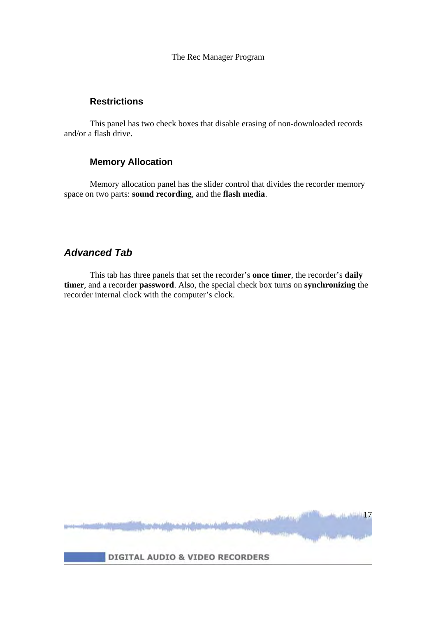# **Restrictions**

 This panel has two check boxes that disable erasing of non-downloaded records and/or a flash drive.

# **Memory Allocation**

 Memory allocation panel has the slider control that divides the recorder memory space on two parts: **sound recording**, and the **flash media**.

# *Advanced Tab*

 This tab has three panels that set the recorder's **once timer**, the recorder's **daily timer**, and a recorder **password**. Also, the special check box turns on **synchronizing** the recorder internal clock with the computer's clock.